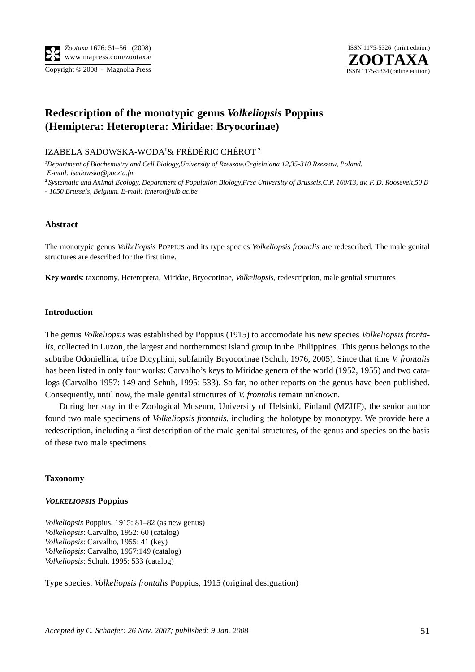



# **Redescription of the monotypic genus** *Volkeliopsis* **Poppius (Hemiptera: Heteroptera: Miridae: Bryocorinae)**

IZABELA SADOWSKA-WODA**<sup>1</sup>** & FRÉDÉRIC CHÉROT **<sup>2</sup>**

*1 Department of Biochemistry and Cell Biology,University of Rzeszow,Cegielniana 12,35-310 Rzeszow, Poland. E-mail: isadowska@poczta.fm*

*<sup>2</sup> Systematic and Animal Ecology, Department of Population Biology,Free University of Brussels,C.P. 160/13, av. F. D. Roosevelt,50 B* 

*- 1050 Brussels, Belgium. E-mail: fcherot@ulb.ac.be*

## **Abstract**

The monotypic genus *Volkeliopsis* POPPIUS and its type species *Volkeliopsis frontalis* are redescribed. The male genital structures are described for the first time.

**Key words**: taxonomy, Heteroptera, Miridae, Bryocorinae, *Volkeliopsis*, redescription, male genital structures

#### **Introduction**

The genus *Volkeliopsis* was established by Poppius (1915) to accomodate his new species *Volkeliopsis frontalis*, collected in Luzon, the largest and northernmost island group in the Philippines. This genus belongs to the subtribe Odoniellina, tribe Dicyphini, subfamily Bryocorinae (Schuh, 1976, 2005). Since that time *V. frontalis* has been listed in only four works: Carvalho's keys to Miridae genera of the world (1952, 1955) and two catalogs (Carvalho 1957: 149 and Schuh, 1995: 533). So far, no other reports on the genus have been published. Consequently, until now, the male genital structures of *V. frontalis* remain unknown.

During her stay in the Zoological Museum, University of Helsinki, Finland (MZHF), the senior author found two male specimens of *Volkeliopsis frontalis*, including the holotype by monotypy. We provide here a redescription, including a first description of the male genital structures, of the genus and species on the basis of these two male specimens.

## **Taxonomy**

## *VOLKELIOPSIS* **Poppius**

*Volkeliopsis* Poppius, 1915: 81–82 (as new genus) *Volkeliopsis*: Carvalho, 1952: 60 (catalog) *Volkeliopsis*: Carvalho, 1955: 41 (key) *Volkeliopsis*: Carvalho, 1957:149 (catalog) *Volkeliopsis*: Schuh, 1995: 533 (catalog)

Type species: *Volkeliopsis frontalis* Poppius, 1915 (original designation)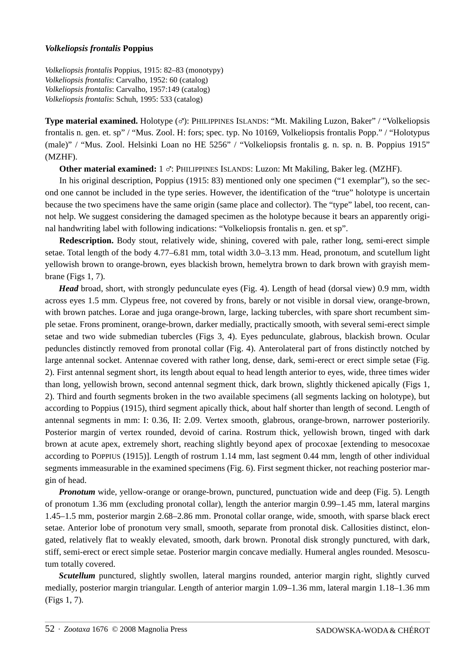## *Volkeliopsis frontalis* **Poppius**

*Volkeliopsis frontalis* Poppius, 1915: 82–83 (monotypy) *Volkeliopsis frontalis*: Carvalho, 1952: 60 (catalog) *Volkeliopsis frontalis*: Carvalho, 1957:149 (catalog) *Volkeliopsis frontalis*: Schuh, 1995: 533 (catalog)

**Type material examined.** Holotype ( $\sigma$ ): PHILIPPINES ISLANDS: "Mt. Makiling Luzon, Baker" / "Volkeliopsis frontalis n. gen. et. sp" / "Mus. Zool. H: fors; spec. typ. No 10169, Volkeliopsis frontalis Popp." / "Holotypus (male)" / "Mus. Zool. Helsinki Loan no HE 5256" / "Volkeliopsis frontalis g. n. sp. n. B. Poppius 1915" (MZHF).

**Other material examined:** 1 %: PHILIPPINES ISLANDS: Luzon: Mt Makiling, Baker leg. (MZHF).

In his original description, Poppius (1915: 83) mentioned only one specimen ("1 exemplar"), so the second one cannot be included in the type series. However, the identification of the "true" holotype is uncertain because the two specimens have the same origin (same place and collector). The "type" label, too recent, cannot help. We suggest considering the damaged specimen as the holotype because it bears an apparently original handwriting label with following indications: "Volkeliopsis frontalis n. gen. et sp".

**Redescription.** Body stout, relatively wide, shining, covered with pale, rather long, semi-erect simple setae. Total length of the body 4.77–6.81 mm, total width 3.0–3.13 mm. Head, pronotum, and scutellum light yellowish brown to orange-brown, eyes blackish brown, hemelytra brown to dark brown with grayish membrane (Figs 1, 7).

*Head* broad, short, with strongly pedunculate eyes (Fig. 4). Length of head (dorsal view) 0.9 mm, width across eyes 1.5 mm. Clypeus free, not covered by frons, barely or not visible in dorsal view, orange-brown, with brown patches. Lorae and juga orange-brown, large, lacking tubercles, with spare short recumbent simple setae. Frons prominent, orange-brown, darker medially, practically smooth, with several semi-erect simple setae and two wide submedian tubercles (Figs 3, 4). Eyes pedunculate, glabrous, blackish brown. Ocular peduncles distinctly removed from pronotal collar (Fig. 4). Anterolateral part of frons distinctly notched by large antennal socket. Antennae covered with rather long, dense, dark, semi-erect or erect simple setae (Fig. 2). First antennal segment short, its length about equal to head length anterior to eyes, wide, three times wider than long, yellowish brown, second antennal segment thick, dark brown, slightly thickened apically (Figs 1, 2). Third and fourth segments broken in the two available specimens (all segments lacking on holotype), but according to Poppius (1915), third segment apically thick, about half shorter than length of second. Length of antennal segments in mm: I: 0.36, II: 2.09. Vertex smooth, glabrous, orange-brown, narrower posteriorily. Posterior margin of vertex rounded, devoid of carina. Rostrum thick, yellowish brown, tinged with dark brown at acute apex, extremely short, reaching slightly beyond apex of procoxae [extending to mesocoxae according to POPPIUS (1915)]. Length of rostrum 1.14 mm, last segment 0.44 mm, length of other individual segments immeasurable in the examined specimens (Fig. 6). First segment thicker, not reaching posterior margin of head.

*Pronotum* wide, yellow-orange or orange-brown, punctured, punctuation wide and deep (Fig. 5). Length of pronotum 1.36 mm (excluding pronotal collar), length the anterior margin 0.99–1.45 mm, lateral margins 1.45–1.5 mm, posterior margin 2.68–2.86 mm. Pronotal collar orange, wide, smooth, with sparse black erect setae. Anterior lobe of pronotum very small, smooth, separate from pronotal disk. Callosities distinct, elongated, relatively flat to weakly elevated, smooth, dark brown. Pronotal disk strongly punctured, with dark, stiff, semi-erect or erect simple setae. Posterior margin concave medially. Humeral angles rounded. Mesoscutum totally covered.

*Scutellum* punctured, slightly swollen, lateral margins rounded, anterior margin right, slightly curved medially, posterior margin triangular. Length of anterior margin 1.09–1.36 mm, lateral margin 1.18–1.36 mm (Figs 1, 7).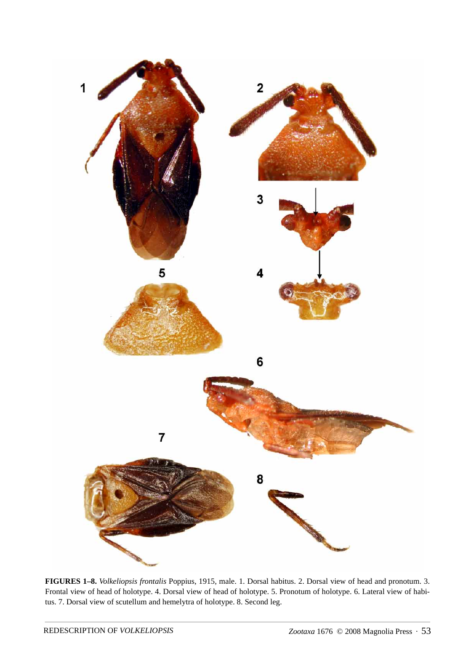

**FIGURES 1–8.** *Volkeliopsis frontalis* Poppius, 1915, male. 1. Dorsal habitus. 2. Dorsal view of head and pronotum. 3. Frontal view of head of holotype. 4. Dorsal view of head of holotype. 5. Pronotum of holotype. 6. Lateral view of habitus. 7. Dorsal view of scutellum and hemelytra of holotype. 8. Second leg.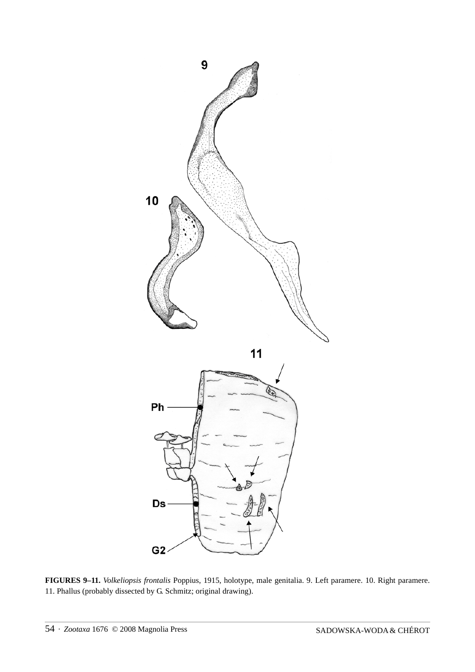

**FIGURES 9–11.** *Volkeliopsis frontalis* Poppius, 1915, holotype, male genitalia. 9. Left paramere. 10. Right paramere. 11. Phallus (probably dissected by G. Schmitz; original drawing).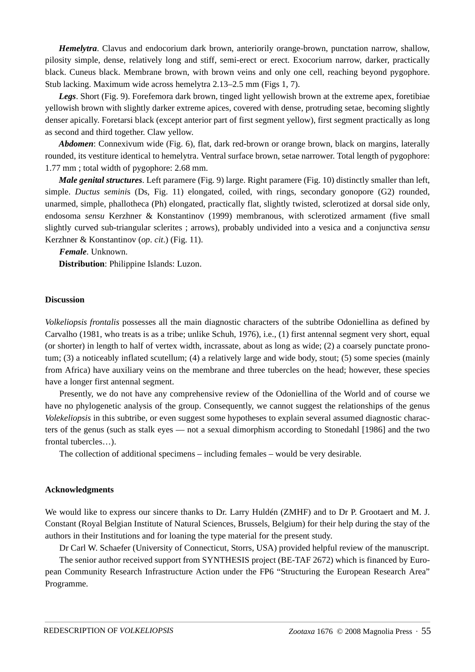*Hemelytra*. Clavus and endocorium dark brown, anteriorily orange-brown, punctation narrow, shallow, pilosity simple, dense, relatively long and stiff, semi-erect or erect. Exocorium narrow, darker, practically black. Cuneus black. Membrane brown, with brown veins and only one cell, reaching beyond pygophore. Stub lacking. Maximum wide across hemelytra 2.13–2.5 mm (Figs 1, 7).

*Legs*. Short (Fig. 9). Forefemora dark brown, tinged light yellowish brown at the extreme apex, foretibiae yellowish brown with slightly darker extreme apices, covered with dense, protruding setae, becoming slightly denser apically. Foretarsi black (except anterior part of first segment yellow), first segment practically as long as second and third together. Claw yellow.

*Abdomen*: Connexivum wide (Fig. 6), flat, dark red-brown or orange brown, black on margins, laterally rounded, its vestiture identical to hemelytra. Ventral surface brown, setae narrower. Total length of pygophore: 1.77 mm ; total width of pygophore: 2.68 mm.

*Male genital structures*. Left paramere (Fig. 9) large. Right paramere (Fig. 10) distinctly smaller than left, simple. *Ductus semini*s (Ds, Fig. 11) elongated, coiled, with rings, secondary gonopore (G2) rounded, unarmed, simple, phallotheca (Ph) elongated, practically flat, slightly twisted, sclerotized at dorsal side only, endosoma *sensu* Kerzhner & Konstantinov (1999) membranous, with sclerotized armament (five small slightly curved sub-triangular sclerites ; arrows), probably undivided into a vesica and a conjunctiva *sensu* Kerzhner & Konstantinov (*op*. *cit*.) (Fig. 11).

*Female*. Unknown.

**Distribution**: Philippine Islands: Luzon.

#### **Discussion**

*Volkeliopsis frontalis* possesses all the main diagnostic characters of the subtribe Odoniellina as defined by Carvalho (1981, who treats is as a tribe; unlike Schuh, 1976), i.e., (1) first antennal segment very short, equal (or shorter) in length to half of vertex width, incrassate, about as long as wide; (2) a coarsely punctate pronotum; (3) a noticeably inflated scutellum; (4) a relatively large and wide body, stout; (5) some species (mainly from Africa) have auxiliary veins on the membrane and three tubercles on the head; however, these species have a longer first antennal segment.

Presently, we do not have any comprehensive review of the Odoniellina of the World and of course we have no phylogenetic analysis of the group. Consequently, we cannot suggest the relationships of the genus *Volekeliopsis* in this subtribe, or even suggest some hypotheses to explain several assumed diagnostic characters of the genus (such as stalk eyes — not a sexual dimorphism according to Stonedahl [1986] and the two frontal tubercles…).

The collection of additional specimens – including females – would be very desirable.

#### **Acknowledgments**

We would like to express our sincere thanks to Dr. Larry Huldén (ZMHF) and to Dr P. Grootaert and M. J. Constant (Royal Belgian Institute of Natural Sciences, Brussels, Belgium) for their help during the stay of the authors in their Institutions and for loaning the type material for the present study.

Dr Carl W. Schaefer (University of Connecticut, Storrs, USA) provided helpful review of the manuscript.

The senior author received support from SYNTHESIS project (BE-TAF 2672) which is financed by European Community Research Infrastructure Action under the FP6 "Structuring the European Research Area" Programme.